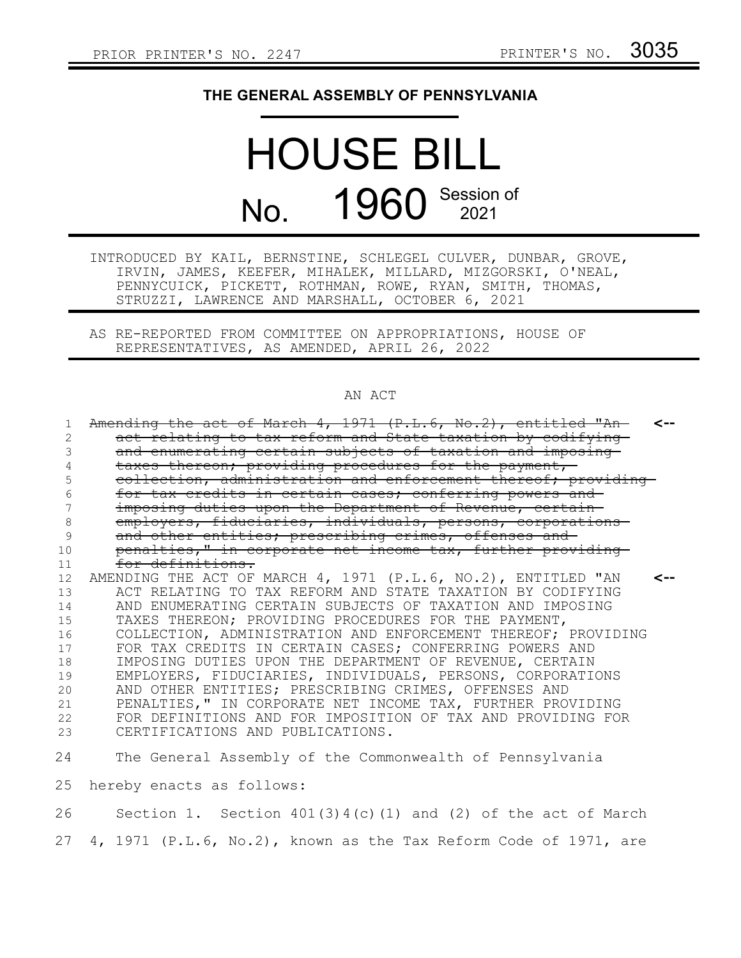## **THE GENERAL ASSEMBLY OF PENNSYLVANIA**

## HOUSE BILL No. 1960 Session of

INTRODUCED BY KAIL, BERNSTINE, SCHLEGEL CULVER, DUNBAR, GROVE, IRVIN, JAMES, KEEFER, MIHALEK, MILLARD, MIZGORSKI, O'NEAL, PENNYCUICK, PICKETT, ROTHMAN, ROWE, RYAN, SMITH, THOMAS, STRUZZI, LAWRENCE AND MARSHALL, OCTOBER 6, 2021

AS RE-REPORTED FROM COMMITTEE ON APPROPRIATIONS, HOUSE OF REPRESENTATIVES, AS AMENDED, APRIL 26, 2022

## AN ACT

| 1  | Amending the act of March 4, 1971 (P.L.6, No.2), entitled "An-   |     |
|----|------------------------------------------------------------------|-----|
| 2  | act relating to tax reform and State taxation by codifying       |     |
| 3  | and enumerating certain subjects of taxation and imposing-       |     |
| 4  | taxes thereon; providing procedures for the payment,             |     |
| 5  | collection, administration and enforcement thereof; providing-   |     |
| 6  | for tax credits in certain cases; conferring powers and          |     |
| 7  | imposing duties upon the Department of Revenue, certain-         |     |
| 8  | employers, fiduciaries, individuals, persons, corporations       |     |
| 9  | and other entities; prescribing crimes, offenses and             |     |
| 10 | penalties," in corporate net income tax, further providing       |     |
| 11 | for definitions.                                                 |     |
| 12 | AMENDING THE ACT OF MARCH 4, 1971 (P.L.6, NO.2), ENTITLED "AN    | <-- |
| 13 | ACT RELATING TO TAX REFORM AND STATE TAXATION BY CODIFYING       |     |
| 14 | AND ENUMERATING CERTAIN SUBJECTS OF TAXATION AND IMPOSING        |     |
| 15 | TAXES THEREON; PROVIDING PROCEDURES FOR THE PAYMENT,             |     |
| 16 | COLLECTION, ADMINISTRATION AND ENFORCEMENT THEREOF; PROVIDING    |     |
| 17 | FOR TAX CREDITS IN CERTAIN CASES; CONFERRING POWERS AND          |     |
| 18 | IMPOSING DUTIES UPON THE DEPARTMENT OF REVENUE, CERTAIN          |     |
| 19 | EMPLOYERS, FIDUCIARIES, INDIVIDUALS, PERSONS, CORPORATIONS       |     |
| 20 | AND OTHER ENTITIES; PRESCRIBING CRIMES, OFFENSES AND             |     |
| 21 | PENALTIES, " IN CORPORATE NET INCOME TAX, FURTHER PROVIDING      |     |
| 22 | FOR DEFINITIONS AND FOR IMPOSITION OF TAX AND PROVIDING FOR      |     |
| 23 | CERTIFICATIONS AND PUBLICATIONS.                                 |     |
| 24 | The General Assembly of the Commonwealth of Pennsylvania         |     |
| 25 | hereby enacts as follows:                                        |     |
| 26 | Section 1. Section $401(3)4(c)(1)$ and (2) of the act of March   |     |
| 27 | 4, 1971 (P.L.6, No.2), known as the Tax Reform Code of 1971, are |     |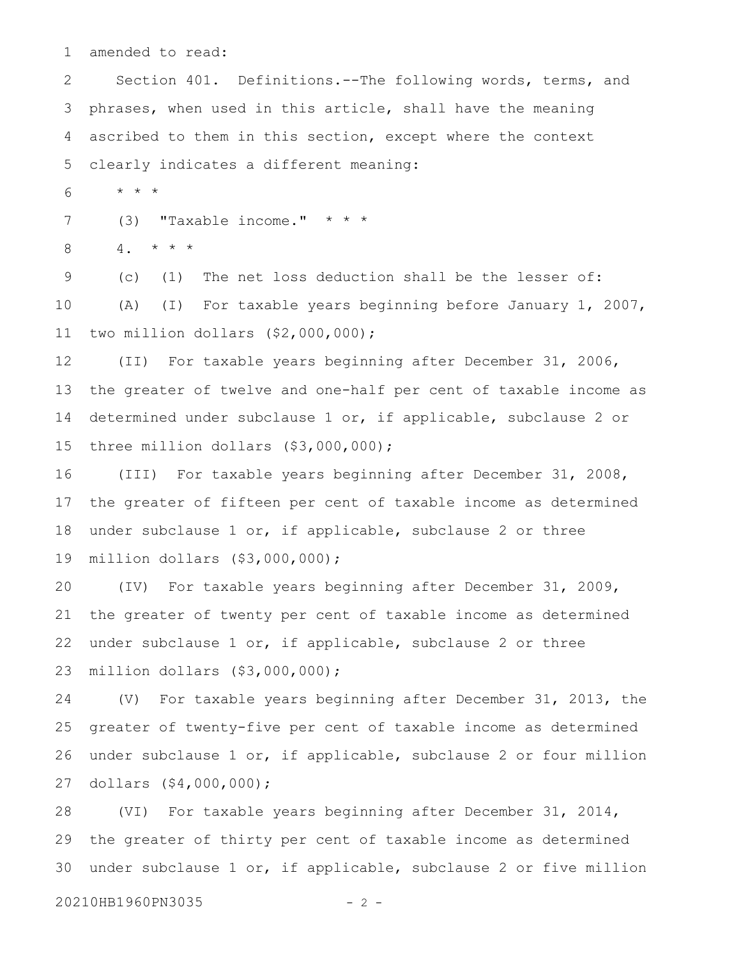amended to read: 1

Section 401. Definitions.--The following words, terms, and phrases, when used in this article, shall have the meaning ascribed to them in this section, except where the context clearly indicates a different meaning: 2 3 4 5

\* \* \* 6

(3) **"Taxable income."**  $* * *$ 7

 $4. * * * *$ 8

(c) (1) The net loss deduction shall be the lesser of: (A) (I) For taxable years beginning before January 1, 2007, two million dollars (\$2,000,000); 9 10 11

(II) For taxable years beginning after December 31, 2006, the greater of twelve and one-half per cent of taxable income as determined under subclause 1 or, if applicable, subclause 2 or three million dollars (\$3,000,000); 12 13 14 15

(III) For taxable years beginning after December 31, 2008, the greater of fifteen per cent of taxable income as determined under subclause 1 or, if applicable, subclause 2 or three million dollars (\$3,000,000); 16 17 18 19

(IV) For taxable years beginning after December 31, 2009, the greater of twenty per cent of taxable income as determined under subclause 1 or, if applicable, subclause 2 or three million dollars (\$3,000,000); 20 21 22 23

(V) For taxable years beginning after December 31, 2013, the greater of twenty-five per cent of taxable income as determined under subclause 1 or, if applicable, subclause 2 or four million dollars (\$4,000,000); 24 25 26 27

(VI) For taxable years beginning after December 31, 2014, the greater of thirty per cent of taxable income as determined under subclause 1 or, if applicable, subclause 2 or five million 28 29 30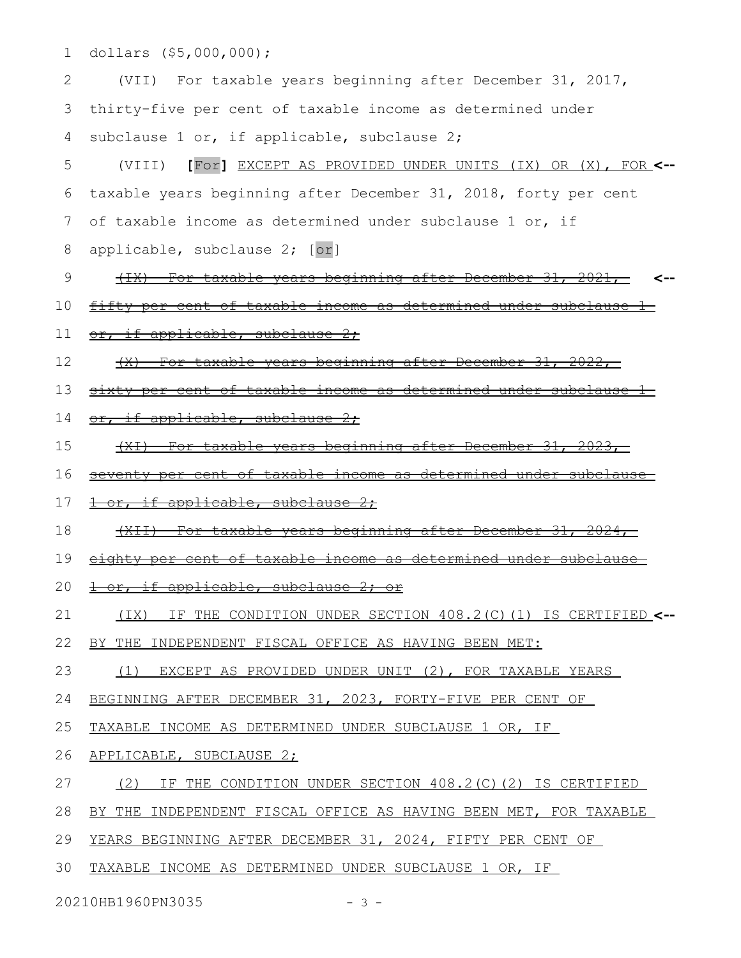dollars (\$5,000,000); (VII) For taxable years beginning after December 31, 2017, thirty-five per cent of taxable income as determined under subclause 1 or, if applicable, subclause 2; (VIII) **[**For**]** EXCEPT AS PROVIDED UNDER UNITS (IX) OR (X), FOR **<-** taxable years beginning after December 31, 2018, forty per cent of taxable income as determined under subclause 1 or, if applicable, subclause 2; [or] (IX) For taxable years beginning after December 31, 2021, fifty per cent of taxable income as determined under subclause 1 or, if applicable, subclause 2; (X) For taxable years beginning after December 31, 2022, sixty per cent of taxable income as determined under subclause or, if applicable, subclause 2; (XI) For taxable years beginning after December 31, 2023, seventy per cent of taxable income as determined under subclause 1 or, if applicable, subclause 2: (XII) For taxable years beginning after December 31, 2024, eighty per cent of taxable income as determined under subclause 1 or, if applicable, subclause 2; or (IX) IF THE CONDITION UNDER SECTION 408.2(C)(1) IS CERTIFIED **<--** BY THE INDEPENDENT FISCAL OFFICE AS HAVING BEEN MET: (1) EXCEPT AS PROVIDED UNDER UNIT (2), FOR TAXABLE YEARS BEGINNING AFTER DECEMBER 31, 2023, FORTY-FIVE PER CENT OF 1 2 3 4 5 6 7 8 9 10 11 12 13 14 15 16 17 18 19 20 21 22 23 24

**<--**

TAXABLE INCOME AS DETERMINED UNDER SUBCLAUSE 1 OR, IF 25

APPLICABLE, SUBCLAUSE 2; 26

(2) IF THE CONDITION UNDER SECTION 408.2(C)(2) IS CERTIFIED 27

BY THE INDEPENDENT FISCAL OFFICE AS HAVING BEEN MET, FOR TAXABLE 28

YEARS BEGINNING AFTER DECEMBER 31, 2024, FIFTY PER CENT OF 29

TAXABLE INCOME AS DETERMINED UNDER SUBCLAUSE 1 OR, IF 30

20210HB1960PN3035 - 3 -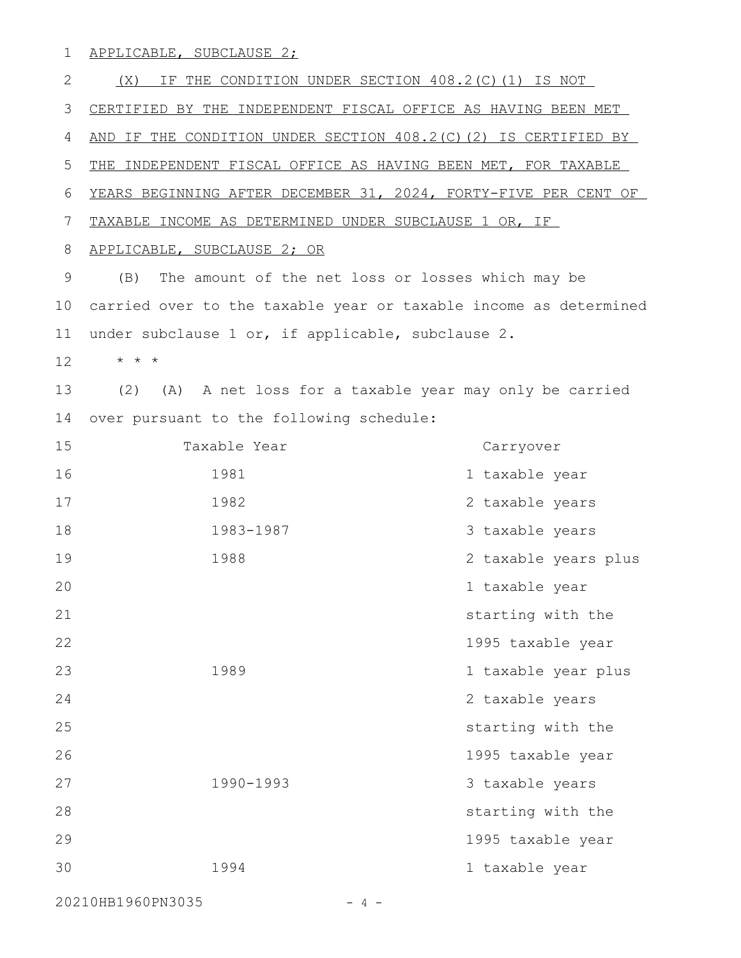APPLICABLE, SUBCLAUSE 2; 1

(X) IF THE CONDITION UNDER SECTION 408.2(C)(1) IS NOT CERTIFIED BY THE INDEPENDENT FISCAL OFFICE AS HAVING BEEN MET AND IF THE CONDITION UNDER SECTION 408.2(C)(2) IS CERTIFIED BY THE INDEPENDENT FISCAL OFFICE AS HAVING BEEN MET, FOR TAXABLE YEARS BEGINNING AFTER DECEMBER 31, 2024, FORTY-FIVE PER CENT OF TAXABLE INCOME AS DETERMINED UNDER SUBCLAUSE 1 OR, IF APPLICABLE, SUBCLAUSE 2; OR (B) The amount of the net loss or losses which may be carried over to the taxable year or taxable income as determined under subclause 1 or, if applicable, subclause 2. \* \* \* (2) (A) A net loss for a taxable year may only be carried over pursuant to the following schedule: Taxable Year Carryover 1981 1 taxable year 1982 2 taxable years 1983-1987 3 taxable years 1988 2 taxable years plus 1 taxable year starting with the 1995 taxable year 1989 1 taxable year plus 2 taxable years starting with the 1995 taxable year 1990-1993 3 taxable years starting with the 1995 taxable year 1994 1 taxable year 2 3 4 5 6 7 8 9 10 11 12 13 14 15 16 17 18 19 20 21 22 23 24 25 26 27 28 29 30

20210HB1960PN3035 - 4 -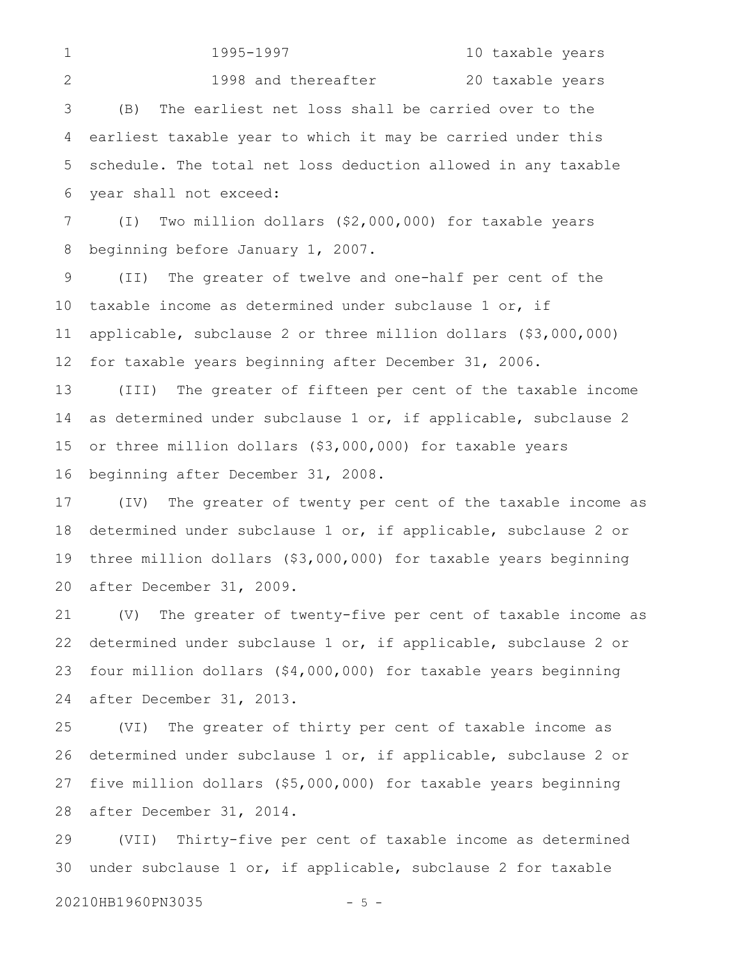1995-1997 10 taxable years 1998 and thereafter 20 taxable years (B) The earliest net loss shall be carried over to the earliest taxable year to which it may be carried under this schedule. The total net loss deduction allowed in any taxable year shall not exceed: 1 2 3 4 5 6

(I) Two million dollars (\$2,000,000) for taxable years beginning before January 1, 2007. 7 8

(II) The greater of twelve and one-half per cent of the taxable income as determined under subclause 1 or, if applicable, subclause 2 or three million dollars (\$3,000,000) for taxable years beginning after December 31, 2006. 9 10 11 12

(III) The greater of fifteen per cent of the taxable income as determined under subclause 1 or, if applicable, subclause 2 or three million dollars (\$3,000,000) for taxable years beginning after December 31, 2008. 13 14 15 16

(IV) The greater of twenty per cent of the taxable income as determined under subclause 1 or, if applicable, subclause 2 or three million dollars (\$3,000,000) for taxable years beginning after December 31, 2009. 17 18 19 20

(V) The greater of twenty-five per cent of taxable income as determined under subclause 1 or, if applicable, subclause 2 or four million dollars (\$4,000,000) for taxable years beginning after December 31, 2013. 21 22 23 24

(VI) The greater of thirty per cent of taxable income as determined under subclause 1 or, if applicable, subclause 2 or five million dollars (\$5,000,000) for taxable years beginning after December 31, 2014. 25 26 27 28

(VII) Thirty-five per cent of taxable income as determined under subclause 1 or, if applicable, subclause 2 for taxable 29 30

20210HB1960PN3035 - 5 -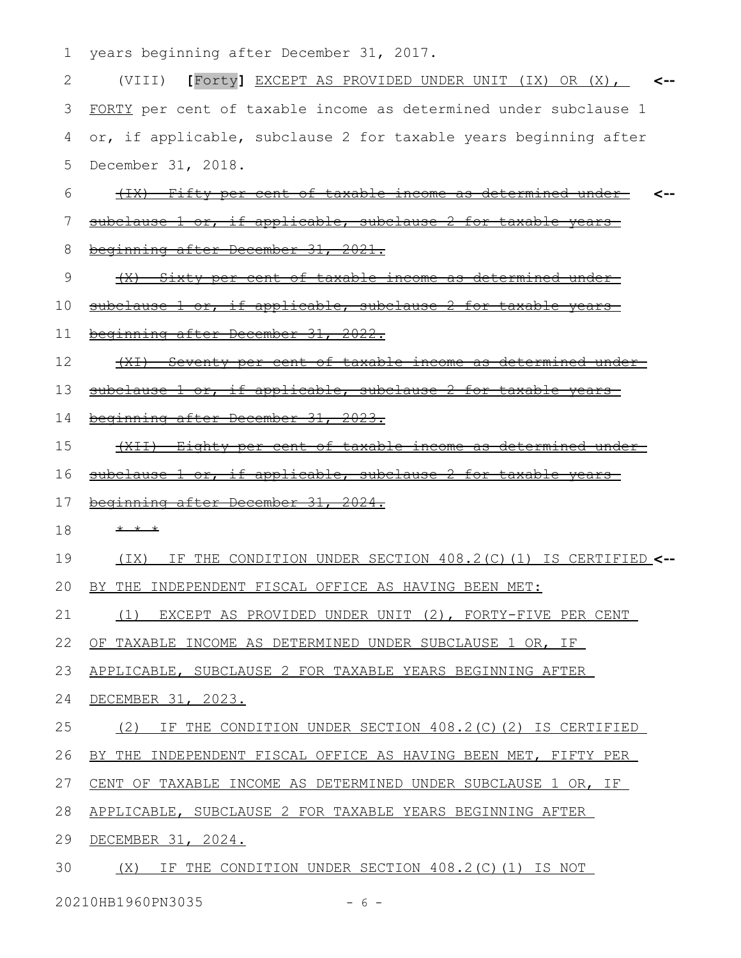1 years beginning after December 31, 2017.

| 2  | [Forty] EXCEPT AS PROVIDED UNDER UNIT (IX) OR (X),<br>(VIII)                |
|----|-----------------------------------------------------------------------------|
| 3  | FORTY per cent of taxable income as determined under subclause 1            |
| 4  | or, if applicable, subclause 2 for taxable years beginning after            |
| 5  | December 31, 2018.                                                          |
| 6  | (IX) Fifty per cent of taxable income as<br><del>determined under-</del>    |
| 7  | subclause 1 or, if applicable, subclause 2 for taxable years                |
| 8  | beginning after December 31, 2021.                                          |
| 9  | (X) Sixty per cent of taxable income as determined under                    |
| 10 | subclause 1 or, if applicable, subclause 2 for taxable                      |
| 11 | beginning after December 31, 2022.                                          |
| 12 | <u>Seventy per cent of taxable income as determined under</u><br>$+x+$      |
| 13 | subclause 1 or, if applicable, subclause 2 for taxable years                |
| 14 | beginning after December 31, 2023.                                          |
| 15 | (XII) Eighty per cent of taxable income as determined unde                  |
| 16 | subclause 1 or, if applicable, subclause 2 for taxable<br><del>-vears</del> |
| 17 | beginning after December 31, 2024.                                          |
| 18 | * * *                                                                       |
| 19 | IF THE CONDITION UNDER SECTION 408.2(C)(1) IS CERTIFIED <--<br>(TX)         |
| 20 | INDEPENDENT FISCAL OFFICE AS HAVING BEEN MET:<br>THE                        |
| 21 | (1) EXCEPT AS PROVIDED UNDER UNIT (2), FORTY-FIVE PER CENT                  |
| 22 | OF TAXABLE INCOME AS DETERMINED UNDER SUBCLAUSE 1 OR, IF                    |
| 23 | APPLICABLE, SUBCLAUSE 2 FOR TAXABLE YEARS BEGINNING AFTER                   |
| 24 | DECEMBER 31, 2023.                                                          |
| 25 | IF THE CONDITION UNDER SECTION 408.2(C)(2) IS CERTIFIED<br>(2)              |
| 26 | BY THE INDEPENDENT FISCAL OFFICE AS HAVING BEEN MET, FIFTY PER              |
| 27 | CENT OF TAXABLE INCOME AS DETERMINED UNDER SUBCLAUSE 1 OR, IF               |
| 28 | APPLICABLE, SUBCLAUSE 2 FOR TAXABLE YEARS BEGINNING AFTER                   |
| 29 | DECEMBER 31, 2024.                                                          |
| 30 | (X) IF THE CONDITION UNDER SECTION 408.2 (C) (1) IS NOT                     |

20210HB1960PN3035 - 6 -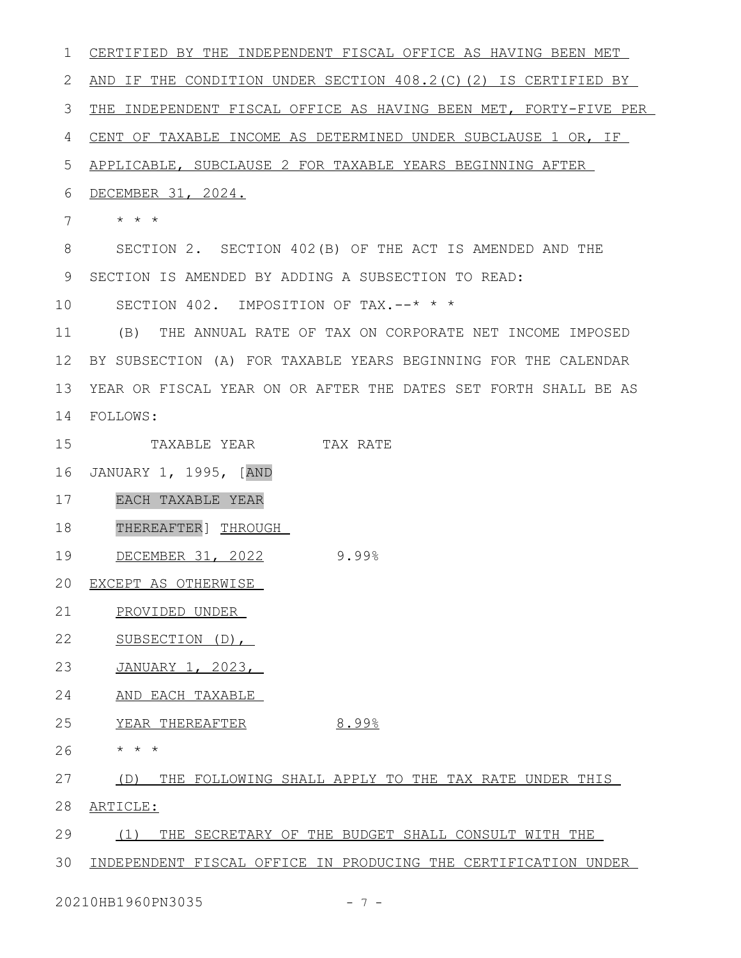CERTIFIED BY THE INDEPENDENT FISCAL OFFICE AS HAVING BEEN MET AND IF THE CONDITION UNDER SECTION 408.2(C)(2) IS CERTIFIED BY 3 THE INDEPENDENT FISCAL OFFICE AS HAVING BEEN MET, FORTY-FIVE PER CENT OF TAXABLE INCOME AS DETERMINED UNDER SUBCLAUSE 1 OR, IF APPLICABLE, SUBCLAUSE 2 FOR TAXABLE YEARS BEGINNING AFTER DECEMBER 31, 2024. \* \* \* SECTION 2. SECTION 402(B) OF THE ACT IS AMENDED AND THE 9 SECTION IS AMENDED BY ADDING A SUBSECTION TO READ: SECTION 402. IMPOSITION OF TAX.--\* \* \* (B) THE ANNUAL RATE OF TAX ON CORPORATE NET INCOME IMPOSED BY SUBSECTION (A) FOR TAXABLE YEARS BEGINNING FOR THE CALENDAR YEAR OR FISCAL YEAR ON OR AFTER THE DATES SET FORTH SHALL BE AS 13 FOLLOWS: 14 TAXABLE YEAR TAX RATE JANUARY 1, 1995, [AND 16 EACH TAXABLE YEAR THEREAFTER] THROUGH 19 DECEMBER 31, 2022 9.99% EXCEPT AS OTHERWISE 20 PROVIDED UNDER SUBSECTION (D), JANUARY 1, 2023, AND EACH TAXABLE 24 25 YEAR THEREAFTER 8.99% \* \* \* (D) THE FOLLOWING SHALL APPLY TO THE TAX RATE UNDER THIS ARTICLE: (1) THE SECRETARY OF THE BUDGET SHALL CONSULT WITH THE INDEPENDENT FISCAL OFFICE IN PRODUCING THE CERTIFICATION UNDER 1 2 4 5 6 7 8 10 11 12 15 17 18 21 22 23 26 27 28 29 30

20210HB1960PN3035 - 7 -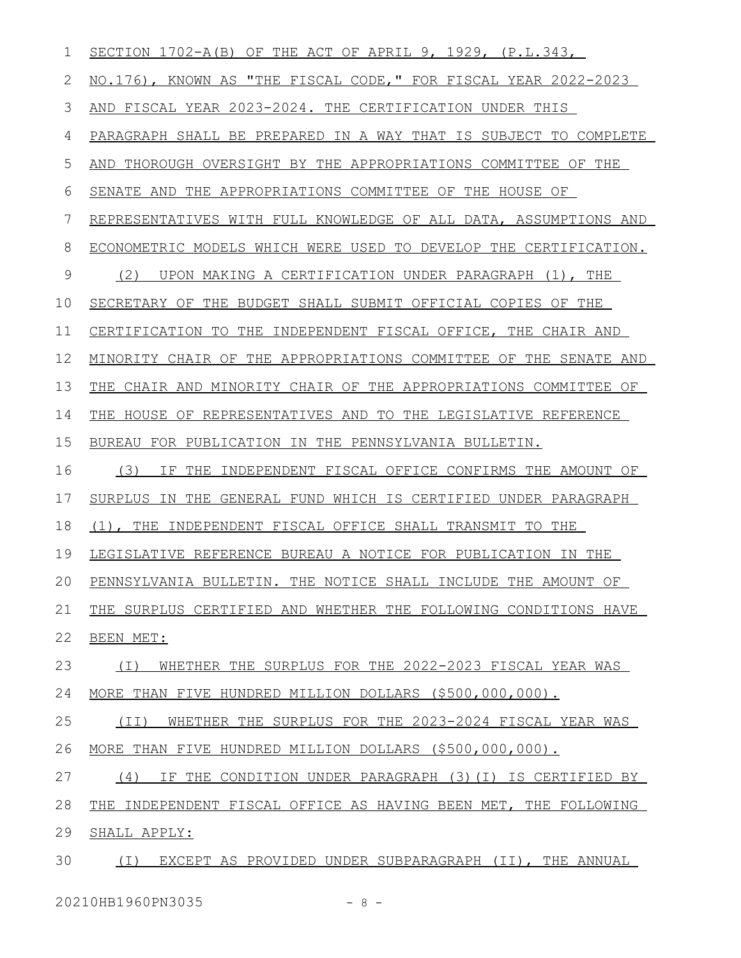| 1           | SECTION $1702-A(B)$ OF THE ACT OF APRIL 9, 1929, $(P.L.343,$     |
|-------------|------------------------------------------------------------------|
| 2           | NO.176), KNOWN AS "THE FISCAL CODE," FOR FISCAL YEAR 2022-2023   |
| 3           | AND FISCAL YEAR 2023-2024. THE CERTIFICATION UNDER THIS          |
| 4           | PARAGRAPH SHALL BE PREPARED IN A WAY THAT IS SUBJECT TO COMPLETE |
| 5           | AND THOROUGH OVERSIGHT BY THE APPROPRIATIONS COMMITTEE OF THE    |
| 6           | SENATE AND THE APPROPRIATIONS COMMITTEE OF THE HOUSE OF          |
| 7           | REPRESENTATIVES WITH FULL KNOWLEDGE OF ALL DATA, ASSUMPTIONS AND |
| 8           | ECONOMETRIC MODELS WHICH WERE USED TO DEVELOP THE CERTIFICATION. |
| $\mathsf 9$ | (2)<br>UPON MAKING A CERTIFICATION UNDER PARAGRAPH (1), THE      |
| 10          | SECRETARY OF THE BUDGET SHALL SUBMIT OFFICIAL COPIES OF THE      |
| 11          | CERTIFICATION TO THE INDEPENDENT FISCAL OFFICE, THE CHAIR AND    |
| 12          | MINORITY CHAIR OF THE APPROPRIATIONS COMMITTEE OF THE SENATE AND |
| 13          | THE CHAIR AND MINORITY CHAIR OF THE APPROPRIATIONS COMMITTEE OF  |
| 14          | THE HOUSE OF REPRESENTATIVES AND TO THE LEGISLATIVE REFERENCE    |
| 15          | BUREAU FOR PUBLICATION IN THE PENNSYLVANIA BULLETIN.             |
| 16          | (3)<br>IF THE INDEPENDENT FISCAL OFFICE CONFIRMS THE AMOUNT OF   |
| 17          | SURPLUS IN THE GENERAL FUND WHICH IS CERTIFIED UNDER PARAGRAPH   |
| 18          | (1), THE INDEPENDENT FISCAL OFFICE SHALL TRANSMIT TO THE         |
| 19          | LEGISLATIVE REFERENCE BUREAU A NOTICE FOR PUBLICATION IN THE     |
| 20          | PENNSYLVANIA BULLETIN. THE NOTICE SHALL INCLUDE THE AMOUNT OF    |
| 21          | THE SURPLUS CERTIFIED AND WHETHER THE FOLLOWING CONDITIONS HAVE  |
| 22          | BEEN MET:                                                        |
| 23          | WHETHER THE SURPLUS FOR THE 2022-2023 FISCAL YEAR WAS<br>( I )   |
| 24          | MORE THAN FIVE HUNDRED MILLION DOLLARS (\$500,000,000).          |
| 25          | WHETHER THE SURPLUS FOR THE 2023-2024 FISCAL YEAR WAS<br>(TI)    |
| 26          | MORE THAN FIVE HUNDRED MILLION DOLLARS (\$500,000,000).          |
| 27          | (4)<br>IF THE CONDITION UNDER PARAGRAPH (3)(I) IS CERTIFIED BY   |
| 28          | THE INDEPENDENT FISCAL OFFICE AS HAVING BEEN MET, THE FOLLOWING  |
| 29          | SHALL APPLY:                                                     |
| 30          | (I) EXCEPT AS PROVIDED UNDER SUBPARAGRAPH (II), THE ANNUAL       |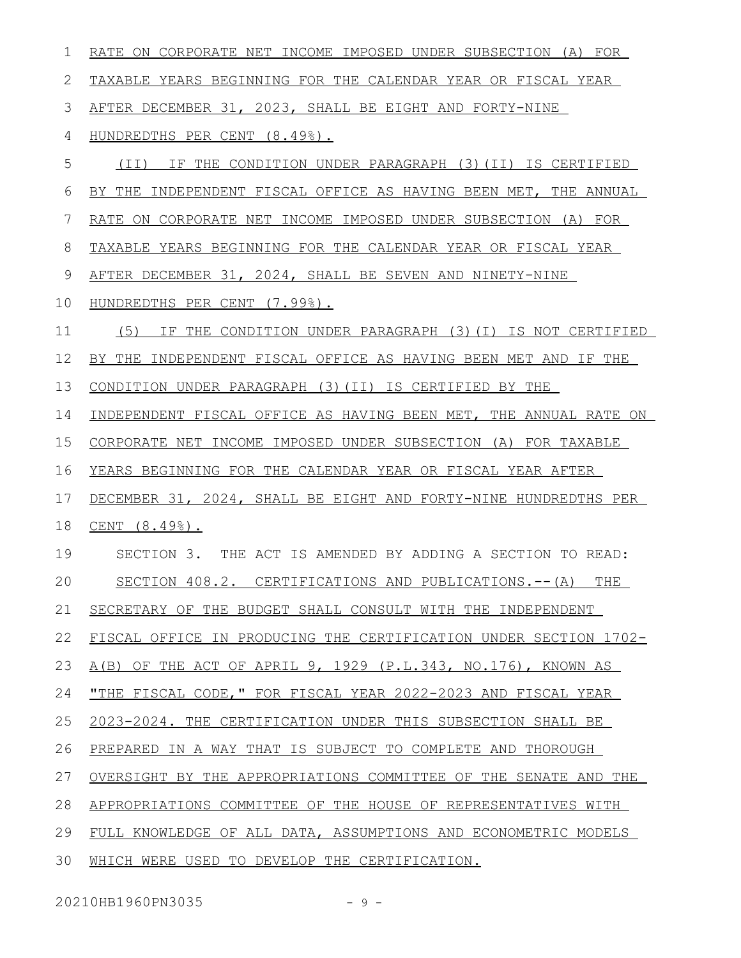| 1  | RATE ON CORPORATE NET INCOME IMPOSED UNDER SUBSECTION (A) FOR    |
|----|------------------------------------------------------------------|
| 2  | TAXABLE YEARS BEGINNING FOR THE CALENDAR YEAR OR FISCAL YEAR     |
| 3  | AFTER DECEMBER 31, 2023, SHALL BE EIGHT AND FORTY-NINE           |
| 4  | HUNDREDTHS PER CENT (8.49%).                                     |
| 5  | IF THE CONDITION UNDER PARAGRAPH (3) (II) IS CERTIFIED<br>(II)   |
| 6  | BY THE INDEPENDENT FISCAL OFFICE AS HAVING BEEN MET, THE ANNUAL  |
| 7  | RATE ON CORPORATE NET INCOME IMPOSED UNDER SUBSECTION (A) FOR    |
| 8  | TAXABLE YEARS BEGINNING FOR THE CALENDAR YEAR OR FISCAL YEAR     |
| 9  | AFTER DECEMBER 31, 2024, SHALL BE SEVEN AND NINETY-NINE          |
| 10 | HUNDREDTHS PER CENT (7.99%).                                     |
| 11 | IF THE CONDITION UNDER PARAGRAPH (3) (I) IS NOT CERTIFIED<br>(5) |
| 12 | BY THE INDEPENDENT FISCAL OFFICE AS HAVING BEEN MET AND IF THE   |
| 13 | CONDITION UNDER PARAGRAPH (3) (II) IS CERTIFIED BY THE           |
| 14 | INDEPENDENT FISCAL OFFICE AS HAVING BEEN MET, THE ANNUAL RATE ON |
| 15 | CORPORATE NET INCOME IMPOSED UNDER SUBSECTION (A) FOR TAXABLE    |
| 16 | YEARS BEGINNING FOR THE CALENDAR YEAR OR FISCAL YEAR AFTER       |
| 17 | DECEMBER 31, 2024, SHALL BE EIGHT AND FORTY-NINE HUNDREDTHS PER  |
| 18 | CENT (8.49%).                                                    |
| 19 | SECTION 3. THE ACT IS AMENDED BY ADDING A SECTION TO READ:       |
| 20 | SECTION 408.2. CERTIFICATIONS AND PUBLICATIONS.-- (A)<br>THE     |
| 21 | SECRETARY OF THE BUDGET SHALL CONSULT WITH THE INDEPENDENT       |
| 22 | FISCAL OFFICE IN PRODUCING THE CERTIFICATION UNDER SECTION 1702- |
| 23 | A(B) OF THE ACT OF APRIL 9, 1929 (P.L.343, NO.176), KNOWN AS     |
| 24 | "THE FISCAL CODE," FOR FISCAL YEAR 2022-2023 AND FISCAL YEAR     |
| 25 | 2023-2024. THE CERTIFICATION UNDER THIS SUBSECTION SHALL BE      |
| 26 | PREPARED IN A WAY THAT IS SUBJECT TO COMPLETE AND THOROUGH       |
| 27 | OVERSIGHT BY THE APPROPRIATIONS COMMITTEE OF THE SENATE AND THE  |
| 28 | APPROPRIATIONS COMMITTEE OF THE HOUSE OF REPRESENTATIVES WITH    |
| 29 | FULL KNOWLEDGE OF ALL DATA, ASSUMPTIONS AND ECONOMETRIC MODELS   |
| 30 | WHICH WERE USED TO DEVELOP THE CERTIFICATION.                    |

20210HB1960PN3035 - 9 -